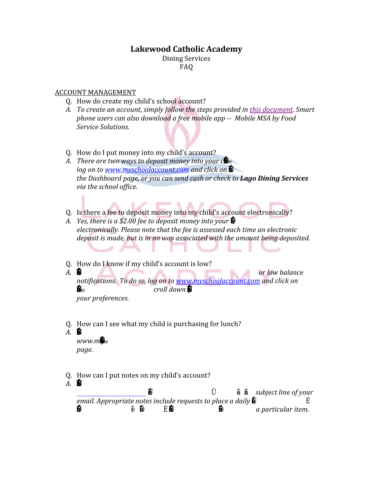# **Lakewood Catholic Academy**

Dining Services FAQ

#### ACCOUNT MANAGEMENT

- Q. How do create my child's school account?
- *A. To create an account, simply follow the steps provided in [this document.](http://www.lakewoodcatholicacademy.com/wp-content/uploads/2014/10/diningsetup.pdf) Smart phone users can also download a free mobile app -- Mobile MSA by Food Service Solutions.*
- Q. How do I put money into my child's account?
- *A. There are two ways to deposit money into your c* $\mathbf{\mathring{E}}$ *log on to www.myschoolaccount.com* and click on  $\bullet$ *the Dashboard page, or you can send cash or check to Lago Dining Services via the school office.*
- Q. Is there a fee to deposit money into my child's account electronically?
- *A. Yes, there is a \$2.00 fee to deposit money into your*  $\ddot{\mathbf{E}}$ . *electronically. Please note that the fee is assessed each time an electronic deposit is made, but is in no way associated with the amount being deposited.* ∽
- Q. How do I know if my child's account is low?
- *A. '—…ƒ•ˆ‹•†'—–‹ˆ›'—"…Š‹Ž†ï•ƒ…'—•–‹•Ž'™"›•‹‰•—'ˆ or low balance notifications. To do so, log on to [www.myschoolaccount.com](http://www.myschoolaccount.com/) and click on*  $\bullet$  **≠**∞ *croll down*  $\bullet$ .

*your preferences.*

- Q. How can I see what my child is purchasing for lunch?
- $A.$   $\blacksquare$

 $www.m<sub>1</sub>W<sub>1</sub>$ *page.*

- Q. How can I put notes on my child's account?
- $A.$  <del>б</del>ы

 $dim \overline{p}$  casaints.com  $\overline{S}$  as  $\overline{z}$  t  $\overline{S}$   $\overline{S}$  if  $\overline{z}$   $\overline{z}$  if  $\overline{z}$  in  $t\overline{z}$  is abject line of your *email. Appropriate notes include requests to place a daily* spending limit ona student's accountor restrict a student's a ility to purchase *a particular item.*